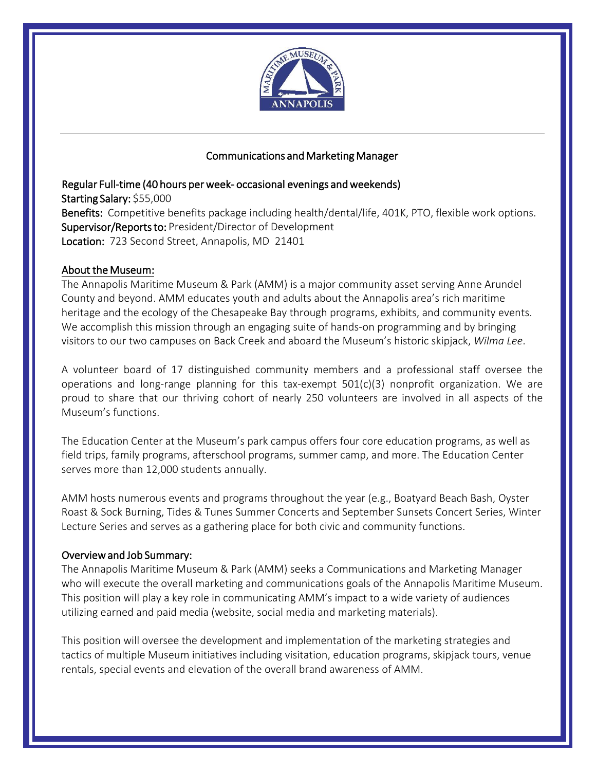

# Marketinguun<sup>s-</sup>

Manager

### Regular Full-time (40 hours per week- occasional evenings and weekends) Starting Salary: \$ñ000 Benefits: Competitive benefits package including health/dental/life, 401K, PTO, flexible work optionsX **Supervisor/Reports to: WCE** Director of Development Location: 723 Second Street, Annapolis, MD 21401

## About the Museum:

The Annapolis Maritime Museum & Park (AMM) is a major community asset serving Anne Arundel County and beyond. AMM educates youth and adults about the Annapolis area's rich maritime heritage and the ecology of the Chesapeake Bay through programs, exhibits, and community events. We accomplish this mission through an engaging suite of hands-on programming and by bringing visitors to our two campuses on Back Creek and aboard the Museum's historic skipjack, *Wilma Lee*.

A volunteer board of 17 distinguished community members and a professional staff oversee the operations and long-range planning for this tax-exempt  $501(c)(3)$  nonprofit organization. We are proud to share that our thriving cohort of nearly 250 volunteers are involved in all aspects of the Museum's functions.

The Education Center at the Museum's park campus offers four core education programs, as well as field trips, family programs, afterschool programs, summer camp, and more. The Education Center serves more than 12,000 students annually.

AMM hosts numerous events and programs throughout the year (e.g., Boatyard Beach Bash, Oyster Roast & Sock Burning, Tides & Tunes Summer Concerts and September Sunsets Concert Series, Winter Lecture Series and serves as a gathering place for both civic and community functions.

### Overview and Job Summary:

The Annapolis Maritime Museum & Park (AMM) seeks a Marketing & Communications Manager who will execute the overall marketing and communications goals of the Annapolis Maritime Museum. This position will play a key role in communicating AMM's impact to a wide variety of audiences utilizing earned and paid media (website, social media and marketing materials).

This position will oversee the development and implementation of the marketing strategies and tactics of multiple Museum initiatives including visitation, education programs, skipjack tours, venue rentals, special events and elevation of the overall brand awareness of AMM.